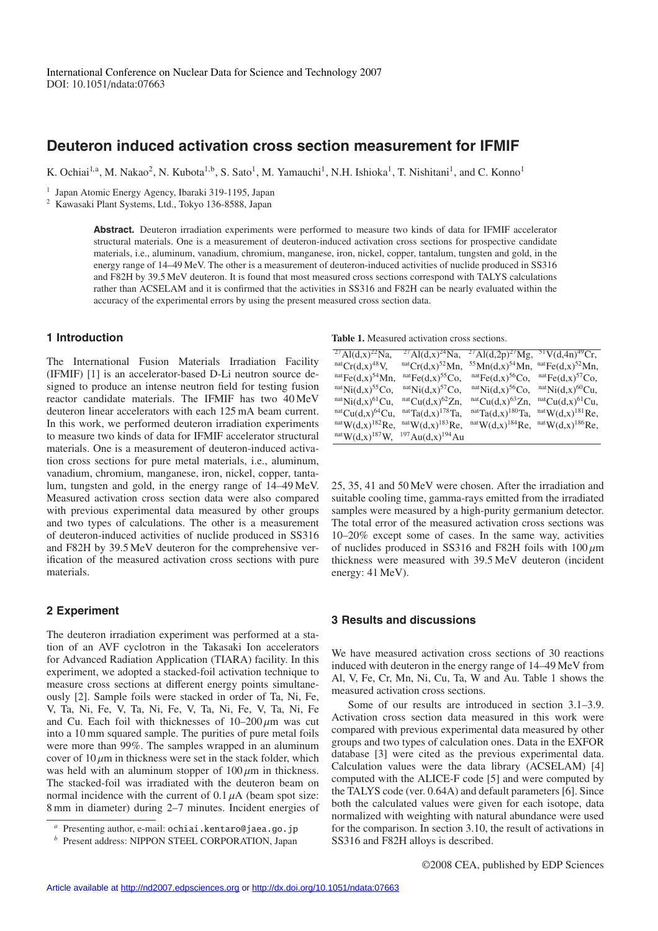# **Deuteron induced activation cross section measurement for IFMIF**

K. Ochiai<sup>1,a</sup>, M. Nakao<sup>2</sup>, N. Kubota<sup>1,b</sup>, S. Sato<sup>1</sup>, M. Yamauchi<sup>1</sup>, N.H. Ishioka<sup>1</sup>, T. Nishitani<sup>1</sup>, and C. Konno<sup>1</sup>

<sup>1</sup> Japan Atomic Energy Agency, Ibaraki 319-1195, Japan

<sup>2</sup> Kawasaki Plant Systems, Ltd., Tokyo 136-8588, Japan

**Abstract.** Deuteron irradiation experiments were performed to measure two kinds of data for IFMIF accelerator structural materials. One is a measurement of deuteron-induced activation cross sections for prospective candidate materials, i.e., aluminum, vanadium, chromium, manganese, iron, nickel, copper, tantalum, tungsten and gold, in the energy range of 14–49 MeV. The other is a measurement of deuteron-induced activities of nuclide produced in SS316 and F82H by 39.5 MeV deuteron. It is found that most measured cross sections correspond with TALYS calculations rather than ACSELAM and it is confirmed that the activities in SS316 and F82H can be nearly evaluated within the accuracy of the experimental errors by using the present measured cross section data.

#### **1 Introduction**

The International Fusion Materials Irradiation Facility (IFMIF) [1] is an accelerator-based D-Li neutron source designed to produce an intense neutron field for testing fusion reactor candidate materials. The IFMIF has two 40 MeV deuteron linear accelerators with each 125 mA beam current. In this work, we performed deuteron irradiation experiments to measure two kinds of data for IFMIF accelerator structural materials. One is a measurement of deuteron-induced activation cross sections for pure metal materials, i.e., aluminum, vanadium, chromium, manganese, iron, nickel, copper, tantalum, tungsten and gold, in the energy range of 14–49 MeV. Measured activation cross section data were also compared with previous experimental data measured by other groups and two types of calculations. The other is a measurement of deuteron-induced activities of nuclide produced in SS316 and F82H by 39.5 MeV deuteron for the comprehensive verification of the measured activation cross sections with pure materials.

### **2 Experiment**

The deuteron irradiation experiment was performed at a station of an AVF cyclotron in the Takasaki Ion accelerators for Advanced Radiation Application (TIARA) facility. In this experiment, we adopted a stacked-foil activation technique to measure cross sections at different energy points simultaneously [2]. Sample foils were stacked in order of Ta, Ni, Fe, V, Ta, Ni, Fe, V, Ta, Ni, Fe, V, Ta, Ni, Fe, V, Ta, Ni, Fe and Cu. Each foil with thicknesses of  $10-200 \mu m$  was cut into a 10 mm squared sample. The purities of pure metal foils were more than 99%. The samples wrapped in an aluminum cover of  $10 \mu m$  in thickness were set in the stack folder, which was held with an aluminum stopper of  $100 \mu m$  in thickness. The stacked-foil was irradiated with the deuteron beam on normal incidence with the current of  $0.1 \mu A$  (beam spot size: 8 mm in diameter) during 2–7 minutes. Incident energies of

**Table 1.** Measured activation cross sections.

| $^{27}$ Al(d,x) <sup>22</sup> Na, | $^{27}$ Al(d,x) <sup>24</sup> Na,               | $^{27}$ Al(d,2p) <sup>27</sup> Mg, $^{51}$ V(d,4n) <sup>49</sup> Cr, |                   |
|-----------------------------------|-------------------------------------------------|----------------------------------------------------------------------|-------------------|
| $^{nat}Cr(d,x)^{48}V,$            | $^{nat}Cr(d,x)^{52}Mn$ ,                        | ${}^{55}Mn(d,x) {}^{54}Mn$ , ${}^{nat}Fe(d,x) {}^{52}Mn$ ,           |                   |
| $^{nat}Fe(d, x)^{54}Mn$ ,         | $natFe(d,x)55Co,$                               | $^{nat}Fe(d,x)^{56}Co$ ,                                             | $natFe(d,x)57Co,$ |
| $natNi(d,x)55Co,$                 | $natNi(d,x)57Co,$                               | $natNi(d,x)56Co,$                                                    | $natNi(d,x)60Cu,$ |
| $natNi(d,x)61Cu$ ,                | $natCu(d,x)62Zn$ ,                              | $natCu(d,x)63Zn,$                                                    | $natCu(d,x)61Cu,$ |
| $natCu(d,x)64Cu,$                 | $natTa(d,x)178Ta$ ,                             | $natTa(d,x)180Ta,$                                                   | $natW(d,x)181Re,$ |
| $natW(d,x)182Re,$                 | $natW(d,x)183Re,$                               | $^{nat}W(d,x)^{184}Re, ^{nat}W(d,x)^{186}Re,$                        |                   |
|                                   | $^{nat}W(d,x)^{187}W$ , $^{197}Au(d,x)^{194}Au$ |                                                                      |                   |

25, 35, 41 and 50 MeV were chosen. After the irradiation and suitable cooling time, gamma-rays emitted from the irradiated samples were measured by a high-purity germanium detector. The total error of the measured activation cross sections was 10–20% except some of cases. In the same way, activities of nuclides produced in SS316 and F82H foils with  $100 \mu m$ thickness were measured with 39.5 MeV deuteron (incident energy: 41 MeV).

#### **3 Results and discussions**

We have measured activation cross sections of 30 reactions induced with deuteron in the energy range of 14–49 MeV from Al, V, Fe, Cr, Mn, Ni, Cu, Ta, W and Au. Table 1 shows the measured activation cross sections.

Some of our results are introduced in section 3.1–3.9. Activation cross section data measured in this work were compared with previous experimental data measured by other groups and two types of calculation ones. Data in the EXFOR database [3] were cited as the previous experimental data. Calculation values were the data library (ACSELAM) [4] computed with the ALICE-F code [5] and were computed by the TALYS code (ver. 0.64A) and default parameters [6]. Since both the calculated values were given for each isotope, data normalized with weighting with natural abundance were used for the comparison. In section 3.10, the result of activations in SS316 and F82H alloys is described.

*<sup>a</sup>* Presenting author, e-mail: ochiai.kentaro@jaea.go.jp *<sup>b</sup>* Present address: NIPPON STEEL CORPORATION, Japan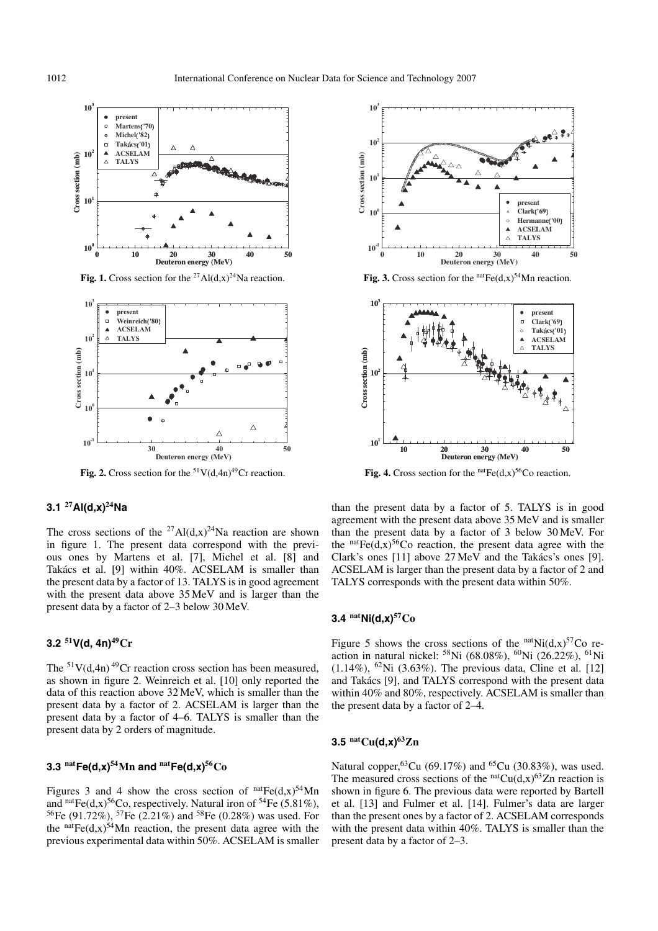

**Fig. 1.** Cross section for the <sup>27</sup>Al(d,x)<sup>24</sup>Na reaction.



**Fig. 2.** Cross section for the  $51V(d,4n)^{49}$ Cr reaction.

# **3.1 <sup>27</sup>Al(d,x)24Na**

The cross sections of the <sup>27</sup>Al(d,x)<sup>24</sup>Na reaction are shown in figure 1. The present data correspond with the previous ones by Martens et al. [7], Michel et al. [8] and Takács et al. [9] within 40%. ACSELAM is smaller than the present data by a factor of 13. TALYS is in good agreement with the present data above 35 MeV and is larger than the present data by a factor of 2–3 below 30 MeV.

# **3.2 <sup>51</sup>V(d, 4n)49Cr**

The  $51V(d,4n)$  <sup>49</sup>Cr reaction cross section has been measured, as shown in figure 2. Weinreich et al. [10] only reported the data of this reaction above 32 MeV, which is smaller than the present data by a factor of 2. ACSELAM is larger than the present data by a factor of 4–6. TALYS is smaller than the present data by 2 orders of magnitude.

## **3.3**  $^{nat}Fe(d,x)^{54}Mn$  and  $^{nat}Fe(d,x)^{56}Co$

Figures 3 and 4 show the cross section of  $<sup>nat</sup>Fe(d,x)<sup>54</sup>Mn$ </sup> and natFe(d,x)<sup>56</sup>Co, respectively. Natural iron of <sup>54</sup>Fe (5.81%), 56Fe (91.72%), 57Fe (2.21%) and 58Fe (0.28%) was used. For the  $natFe(d,x)$ <sup>54</sup>Mn reaction, the present data agree with the previous experimental data within 50%. ACSELAM is smaller



**Fig. 3.** Cross section for the  $natFe(d,x)$ <sup>54</sup>Mn reaction.



**Fig. 4.** Cross section for the  $natFe(d,x)$ <sup>56</sup>Co reaction.

than the present data by a factor of 5. TALYS is in good agreement with the present data above 35 MeV and is smaller than the present data by a factor of 3 below 30 MeV. For the  $natFe(d,x)$ <sup>56</sup>Co reaction, the present data agree with the Clark's ones  $[11]$  above 27 MeV and the Takacs's ones  $[9]$ . ACSELAM is larger than the present data by a factor of 2 and TALYS corresponds with the present data within 50%.

## **3.4 natNi(d,x)57Co**

Figure 5 shows the cross sections of the  $natNi(d,x)<sup>57</sup>Co$  reaction in natural nickel: 58Ni (68.08%), 60Ni (26.22%), 61Ni  $(1.14\%)$ , <sup>62</sup>Ni  $(3.63\%)$ . The previous data, Cline et al. [12] and Takács [9], and TALYS correspond with the present data within 40% and 80%, respectively. ACSELAM is smaller than the present data by a factor of 2–4.

#### **3.5 natCu(d,x)63Zn**

Natural copper,<sup>63</sup>Cu (69.17%) and <sup>65</sup>Cu (30.83%), was used. The measured cross sections of the  $<sup>nat</sup>Cu(d,x)<sup>63</sup>Zn$  reaction is</sup> shown in figure 6. The previous data were reported by Bartell et al. [13] and Fulmer et al. [14]. Fulmer's data are larger than the present ones by a factor of 2. ACSELAM corresponds with the present data within 40%. TALYS is smaller than the present data by a factor of 2–3.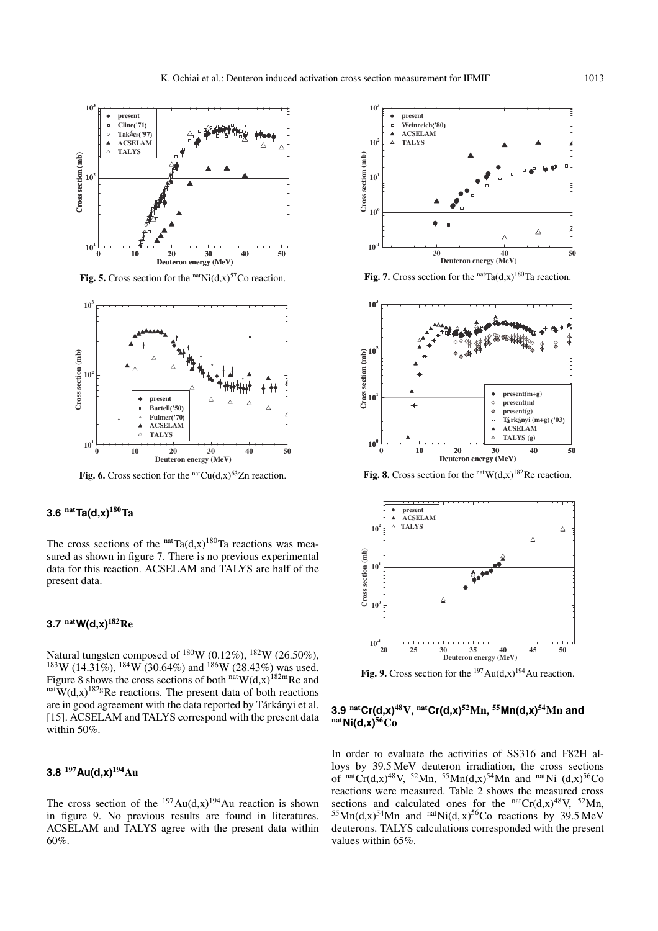

**Fig. 5.** Cross section for the  $<sup>nat</sup>Ni(d,x)<sup>57</sup>Co$  reaction.</sup>



**Fig. 6.** Cross section for the  $<sup>nat</sup>Cu(d,x)<sup>63</sup>Zn$  reaction.</sup>

#### **3.6 natTa(d,x)180Ta**

The cross sections of the  $natTa(d, x)$ <sup>180</sup>Ta reactions was measured as shown in figure 7. There is no previous experimental data for this reaction. ACSELAM and TALYS are half of the present data.

## **3.7 natW(d,x)182Re**

Natural tungsten composed of  $^{180}$ W (0.12%),  $^{182}$ W (26.50%),  $183W (14.31\%)$ ,  $184W (30.64\%)$  and  $186W (28.43\%)$  was used. Figure 8 shows the cross sections of both natW(d,x)<sup>182m</sup>Re and natW(d,x)<sup>182g</sup>Re reactions. The present data of both reactions are in good agreement with the data reported by Tárkányi et al. [15]. ACSELAM and TALYS correspond with the present data within 50%.

# **3.8 <sup>197</sup>Au(d,x)194Au**

The cross section of the  $^{197}Au(d,x)^{194}Au$  reaction is shown in figure 9. No previous results are found in literatures. ACSELAM and TALYS agree with the present data within 60%.



**Fig. 7.** Cross section for the  $<sup>nat</sup>Ta(d,x)<sup>180</sup>Ta$  reaction.</sup>





**Fig. 9.** Cross section for the  $^{197}$ Au(d,x)<sup>194</sup>Au reaction.

# **3.9 natCr(d,x)48V, natCr(d,x)52Mn, <sup>55</sup>Mn(d,x)54Mn and natNi(d,x)56Co**

In order to evaluate the activities of SS316 and F82H alloys by 39.5 MeV deuteron irradiation, the cross sections of natCr(d,x)<sup>48</sup>V, <sup>52</sup>Mn, <sup>55</sup>Mn(d,x)<sup>54</sup>Mn and <sup>nat</sup>Ni (d,x)<sup>56</sup>Co reactions were measured. Table 2 shows the measured cross sections and calculated ones for the  $<sup>nat</sup>Cr(d,x)<sup>48</sup>V, <sup>52</sup>Mn$ ,</sup>  $55Mn(d,x)$ <sup>54</sup>Mn and <sup>nat</sup>Ni(d, x)<sup>56</sup>Co reactions by 39.5 MeV deuterons. TALYS calculations corresponded with the present values within 65%.